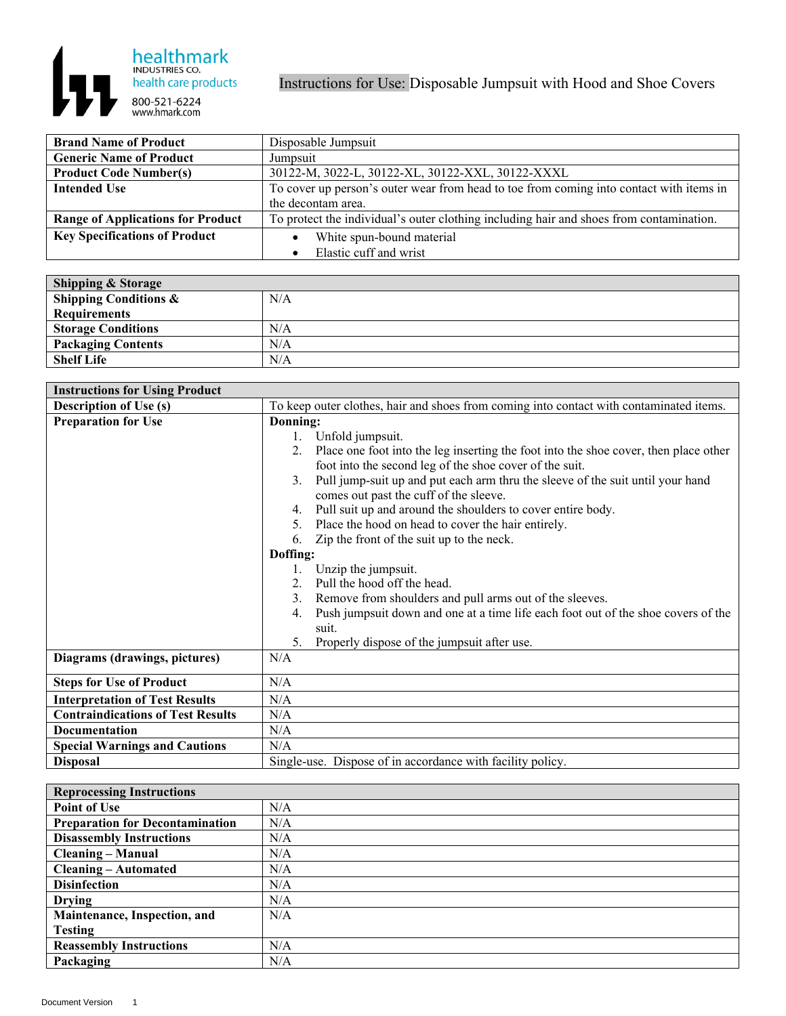

| <b>Brand Name of Product</b>             | Disposable Jumpsuit                                                                     |
|------------------------------------------|-----------------------------------------------------------------------------------------|
| <b>Generic Name of Product</b>           | Jumpsuit                                                                                |
| <b>Product Code Number(s)</b>            | 30122-M, 3022-L, 30122-XL, 30122-XXL, 30122-XXXL                                        |
| <b>Intended Use</b>                      | To cover up person's outer wear from head to toe from coming into contact with items in |
|                                          | the decontam area.                                                                      |
| <b>Range of Applications for Product</b> | To protect the individual's outer clothing including hair and shoes from contamination. |
| <b>Key Specifications of Product</b>     | White spun-bound material                                                               |
|                                          | Elastic cuff and wrist                                                                  |

| <b>Shipping &amp; Storage</b>    |     |
|----------------------------------|-----|
| <b>Shipping Conditions &amp;</b> | N/A |
| <b>Requirements</b>              |     |
| <b>Storage Conditions</b>        | N/A |
| <b>Packaging Contents</b>        | N/A |
| <b>Shelf Life</b>                | N/A |

| <b>Instructions for Using Product</b>    |                                                                                            |
|------------------------------------------|--------------------------------------------------------------------------------------------|
| <b>Description of Use (s)</b>            | To keep outer clothes, hair and shoes from coming into contact with contaminated items.    |
| <b>Preparation for Use</b>               | Donning:                                                                                   |
|                                          | 1.<br>Unfold jumpsuit.                                                                     |
|                                          | Place one foot into the leg inserting the foot into the shoe cover, then place other<br>2. |
|                                          | foot into the second leg of the shoe cover of the suit.                                    |
|                                          | Pull jump-suit up and put each arm thru the sleeve of the suit until your hand<br>3.       |
|                                          | comes out past the cuff of the sleeve.                                                     |
|                                          | Pull suit up and around the shoulders to cover entire body.<br>4.                          |
|                                          | Place the hood on head to cover the hair entirely.<br>5.                                   |
|                                          | Zip the front of the suit up to the neck.<br>6.                                            |
|                                          | Doffing:                                                                                   |
|                                          | Unzip the jumpsuit.                                                                        |
|                                          | Pull the hood off the head.<br>2.                                                          |
|                                          | Remove from shoulders and pull arms out of the sleeves.<br>3.                              |
|                                          | Push jumpsuit down and one at a time life each foot out of the shoe covers of the<br>4.    |
|                                          | suit.                                                                                      |
|                                          | Properly dispose of the jumpsuit after use.<br>5.                                          |
| Diagrams (drawings, pictures)            | N/A                                                                                        |
| <b>Steps for Use of Product</b>          | N/A                                                                                        |
| <b>Interpretation of Test Results</b>    | N/A                                                                                        |
| <b>Contraindications of Test Results</b> | N/A                                                                                        |
| <b>Documentation</b>                     | N/A                                                                                        |
| <b>Special Warnings and Cautions</b>     | N/A                                                                                        |
| <b>Disposal</b>                          | Single-use. Dispose of in accordance with facility policy.                                 |
|                                          |                                                                                            |

| <b>Reprocessing Instructions</b>       |     |
|----------------------------------------|-----|
| <b>Point of Use</b>                    | N/A |
| <b>Preparation for Decontamination</b> | N/A |
| <b>Disassembly Instructions</b>        | N/A |
| <b>Cleaning – Manual</b>               | N/A |
| <b>Cleaning – Automated</b>            | N/A |
| <b>Disinfection</b>                    | N/A |
| <b>Drying</b>                          | N/A |
| Maintenance, Inspection, and           | N/A |
| <b>Testing</b>                         |     |
| <b>Reassembly Instructions</b>         | N/A |
| Packaging                              | N/A |